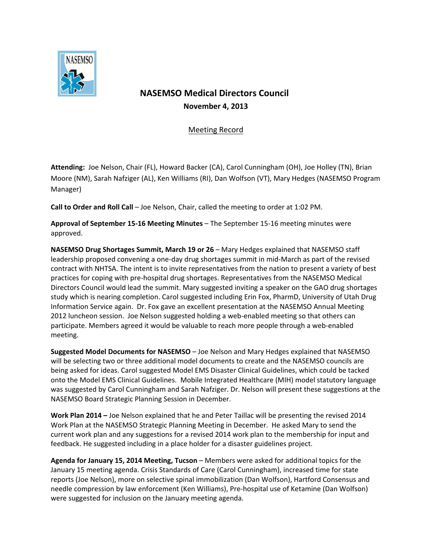

## **NASEMSO Medical Directors Council November 4, 2013**

## Meeting Record

**Attending:** Joe Nelson, Chair (FL), Howard Backer (CA), Carol Cunningham (OH), Joe Holley (TN), Brian Moore (NM), Sarah Nafziger (AL), Ken Williams (RI), Dan Wolfson (VT), Mary Hedges (NASEMSO Program Manager)

**Call to Order and Roll Call** – Joe Nelson, Chair, called the meeting to order at 1:02 PM.

**Approval of September 15-16 Meeting Minutes** – The September 15-16 meeting minutes were approved.

**NASEMSO Drug Shortages Summit, March 19 or 26** – Mary Hedges explained that NASEMSO staff leadership proposed convening a one-day drug shortages summit in mid-March as part of the revised contract with NHTSA. The intent is to invite representatives from the nation to present a variety of best practices for coping with pre-hospital drug shortages. Representatives from the NASEMSO Medical Directors Council would lead the summit. Mary suggested inviting a speaker on the GAO drug shortages study which is nearing completion. Carol suggested including Erin Fox, PharmD, University of Utah Drug Information Service again. Dr. Fox gave an excellent presentation at the NASEMSO Annual Meeting 2012 luncheon session. Joe Nelson suggested holding a web-enabled meeting so that others can participate. Members agreed it would be valuable to reach more people through a web-enabled meeting.

**Suggested Model Documents for NASEMSO** – Joe Nelson and Mary Hedges explained that NASEMSO will be selecting two or three additional model documents to create and the NASEMSO councils are being asked for ideas. Carol suggested Model EMS Disaster Clinical Guidelines, which could be tacked onto the Model EMS Clinical Guidelines. Mobile Integrated Healthcare (MIH) model statutory language was suggested by Carol Cunningham and Sarah Nafziger. Dr. Nelson will present these suggestions at the NASEMSO Board Strategic Planning Session in December.

**Work Plan 2014 –** Joe Nelson explained that he and Peter Taillac will be presenting the revised 2014 Work Plan at the NASEMSO Strategic Planning Meeting in December. He asked Mary to send the current work plan and any suggestions for a revised 2014 work plan to the membership for input and feedback. He suggested including in a place holder for a disaster guidelines project.

**Agenda for January 15, 2014 Meeting, Tucson** – Members were asked for additional topics for the January 15 meeting agenda. Crisis Standards of Care (Carol Cunningham), increased time for state reports (Joe Nelson), more on selective spinal immobilization (Dan Wolfson), Hartford Consensus and needle compression by law enforcement (Ken Williams), Pre-hospital use of Ketamine (Dan Wolfson) were suggested for inclusion on the January meeting agenda.